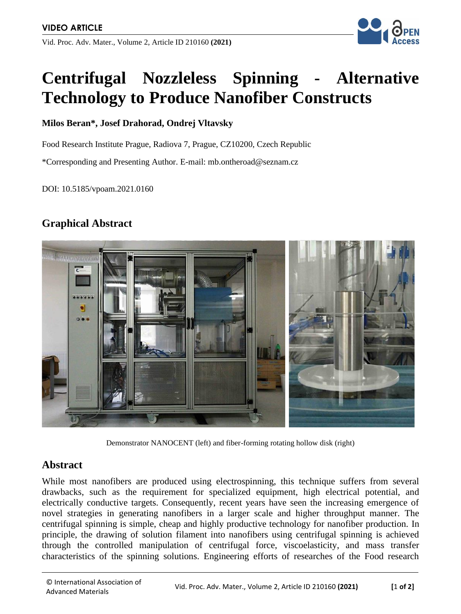Vid. Proc. Adv. Mater., Volume 2, Article ID 210160 **(2021)**



# **Centrifugal Nozzleless Spinning - Alternative Technology to Produce Nanofiber Constructs**

#### **Milos Beran\*, Josef Drahorad, Ondrej Vltavsky**

Food Research Institute Prague, Radiova 7, Prague, CZ10200, Czech Republic

\*Corresponding and Presenting Author. E-mail: mb.ontheroad@seznam.cz

DOI: 10.5185/vpoam.2021.0160

### **Graphical Abstract**



Demonstrator NANOCENT (left) and fiber-forming rotating hollow disk (right)

#### **Abstract**

While most nanofibers are produced using electrospinning, this technique suffers from several drawbacks, such as the requirement for specialized equipment, high electrical potential, and electrically conductive targets. Consequently, recent years have seen the increasing emergence of novel strategies in generating nanofibers in a larger scale and higher throughput manner. The centrifugal spinning is simple, cheap and highly productive technology for nanofiber production. In principle, the drawing of solution filament into nanofibers using centrifugal spinning is achieved through the controlled manipulation of centrifugal force, viscoelasticity, and mass transfer characteristics of the spinning solutions. Engineering efforts of researches of the Food research